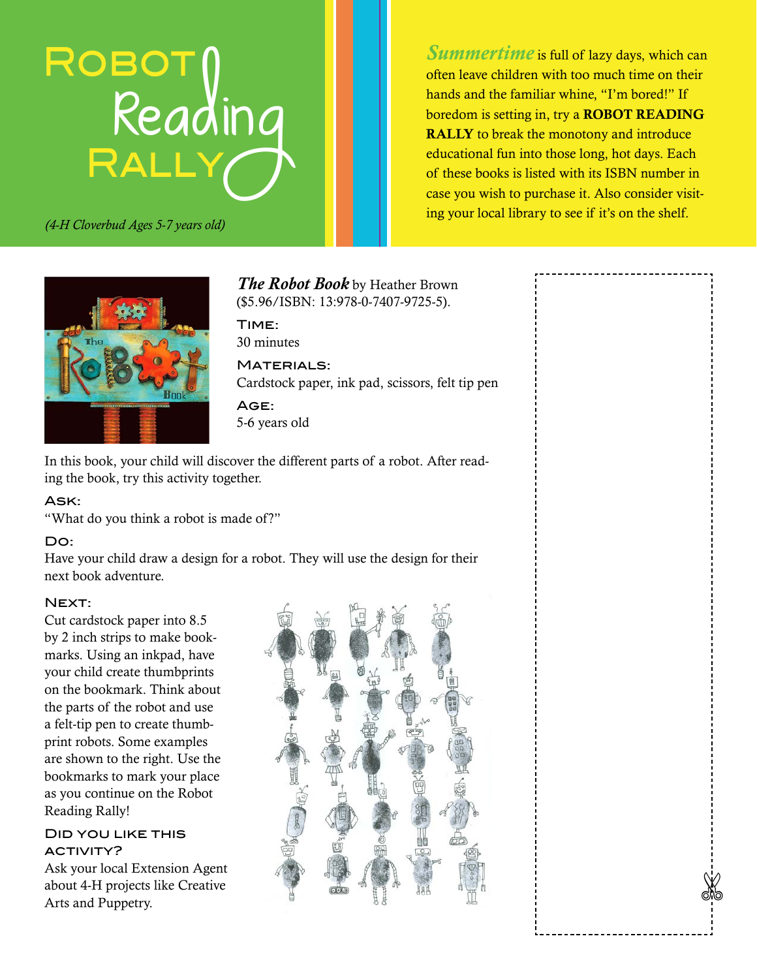# ROBOT Reading<br>RALLY

*(4-H Cloverbud Ages 5-7 years old)*

*Summertime* is full of lazy days, which can often leave children with too much time on their hands and the familiar whine, "I'm bored!" If boredom is setting in, try a ROBOT READING RALLY to break the monotony and introduce educational fun into those long, hot days. Each of these books is listed with its ISBN number in case you wish to purchase it. Also consider visiting your local library to see if it's on the shelf.



*The Robot Book* by Heather Brown (\$5.96/ISBN: 13:978-0-7407-9725-5).

Time: 30 minutes

MATERIALS: Cardstock paper, ink pad, scissors, felt tip pen

Age: 5-6 years old

In this book, your child will discover the different parts of a robot. After reading the book, try this activity together.

#### Ask:

"What do you think a robot is made of?"

#### Do:

Have your child draw a design for a robot. They will use the design for their next book adventure.

#### NEXT:

Cut cardstock paper into 8.5 by 2 inch strips to make bookmarks. Using an inkpad, have your child create thumbprints on the bookmark. Think about the parts of the robot and use a felt-tip pen to create thumbprint robots. Some examples are shown to the right. Use the bookmarks to mark your place as you continue on the Robot Reading Rally!

#### Did you like this ACTIVITY?

Ask your local Extension Agent about 4-H projects like Creative

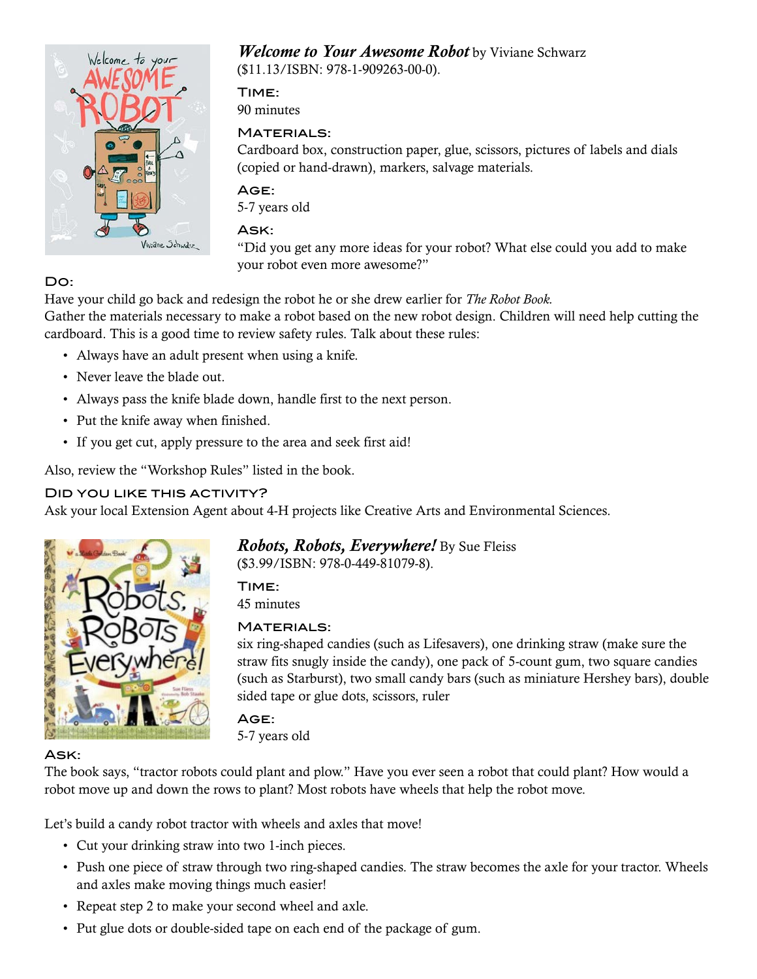

## *Welcome to Your Awesome Robot* by Viviane Schwarz

(\$11.13/ISBN: 978-1-909263-00-0).

Time: 90 minutes

#### MATERIALS:

Cardboard box, construction paper, glue, scissors, pictures of labels and dials (copied or hand-drawn), markers, salvage materials.

#### Age:

5-7 years old

#### Ask:

"Did you get any more ideas for your robot? What else could you add to make your robot even more awesome?"

## Do:

Have your child go back and redesign the robot he or she drew earlier for *The Robot Book.* Gather the materials necessary to make a robot based on the new robot design. Children will need help cutting the cardboard. This is a good time to review safety rules. Talk about these rules:

- Always have an adult present when using a knife.
- Never leave the blade out.
- Always pass the knife blade down, handle first to the next person.
- Put the knife away when finished.
- If you get cut, apply pressure to the area and seek first aid!

Also, review the "Workshop Rules" listed in the book.

#### Did you like this activity?

Ask your local Extension Agent about 4-H projects like Creative Arts and Environmental Sciences.



*Robots, Robots, Everywhere!* By Sue Fleiss (\$3.99/ISBN: 978-0-449-81079-8).

Time: 45 minutes

#### **MATERIALS:**

six ring-shaped candies (such as Lifesavers), one drinking straw (make sure the straw fits snugly inside the candy), one pack of 5-count gum, two square candies (such as Starburst), two small candy bars (such as miniature Hershey bars), double sided tape or glue dots, scissors, ruler

Age: 5-7 years old

#### Ask:

The book says, "tractor robots could plant and plow." Have you ever seen a robot that could plant? How would a robot move up and down the rows to plant? Most robots have wheels that help the robot move.

Let's build a candy robot tractor with wheels and axles that move!

- Cut your drinking straw into two 1-inch pieces.
- Push one piece of straw through two ring-shaped candies. The straw becomes the axle for your tractor. Wheels and axles make moving things much easier!
- Repeat step 2 to make your second wheel and axle.
- Put glue dots or double-sided tape on each end of the package of gum.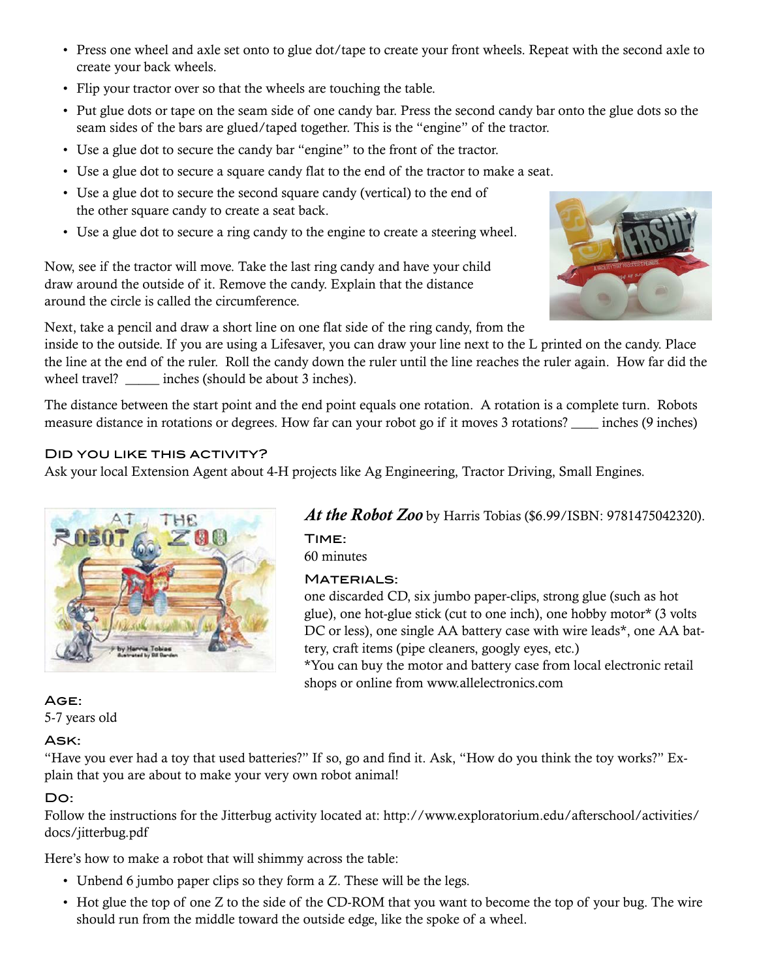- Press one wheel and axle set onto to glue dot/tape to create your front wheels. Repeat with the second axle to create your back wheels.
- Flip your tractor over so that the wheels are touching the table.
- Put glue dots or tape on the seam side of one candy bar. Press the second candy bar onto the glue dots so the seam sides of the bars are glued/taped together. This is the "engine" of the tractor.
- Use a glue dot to secure the candy bar "engine" to the front of the tractor.
- Use a glue dot to secure a square candy flat to the end of the tractor to make a seat.
- Use a glue dot to secure the second square candy (vertical) to the end of the other square candy to create a seat back.
- Use a glue dot to secure a ring candy to the engine to create a steering wheel.

Now, see if the tractor will move. Take the last ring candy and have your child draw around the outside of it. Remove the candy. Explain that the distance around the circle is called the circumference.



Next, take a pencil and draw a short line on one flat side of the ring candy, from the

inside to the outside. If you are using a Lifesaver, you can draw your line next to the L printed on the candy. Place the line at the end of the ruler. Roll the candy down the ruler until the line reaches the ruler again. How far did the wheel travel? \_\_\_\_\_ inches (should be about 3 inches).

The distance between the start point and the end point equals one rotation. A rotation is a complete turn. Robots measure distance in rotations or degrees. How far can your robot go if it moves 3 rotations? \_\_\_\_ inches (9 inches)

#### Did you like this activity?

Ask your local Extension Agent about 4-H projects like Ag Engineering, Tractor Driving, Small Engines.



## *At the Robot Zoo* by Harris Tobias (\$6.99/ISBN: 9781475042320).

Time: 60 minutes

#### **MATERIALS:**

one discarded CD, six jumbo paper-clips, strong glue (such as hot glue), one hot-glue stick (cut to one inch), one hobby motor\* (3 volts DC or less), one single AA battery case with wire leads\*, one AA battery, craft items (pipe cleaners, googly eyes, etc.)

\*You can buy the motor and battery case from local electronic retail shops or online from www.allelectronics.com

#### Age: 5-7 years old

#### Ask:

"Have you ever had a toy that used batteries?" If so, go and find it. Ask, "How do you think the toy works?" Explain that you are about to make your very own robot animal!

#### Do:

Follow the instructions for the Jitterbug activity located at: http://www.exploratorium.edu/afterschool/activities/ docs/jitterbug.pdf

Here's how to make a robot that will shimmy across the table:

- Unbend 6 jumbo paper clips so they form a Z. These will be the legs.
- Hot glue the top of one Z to the side of the CD-ROM that you want to become the top of your bug. The wire should run from the middle toward the outside edge, like the spoke of a wheel.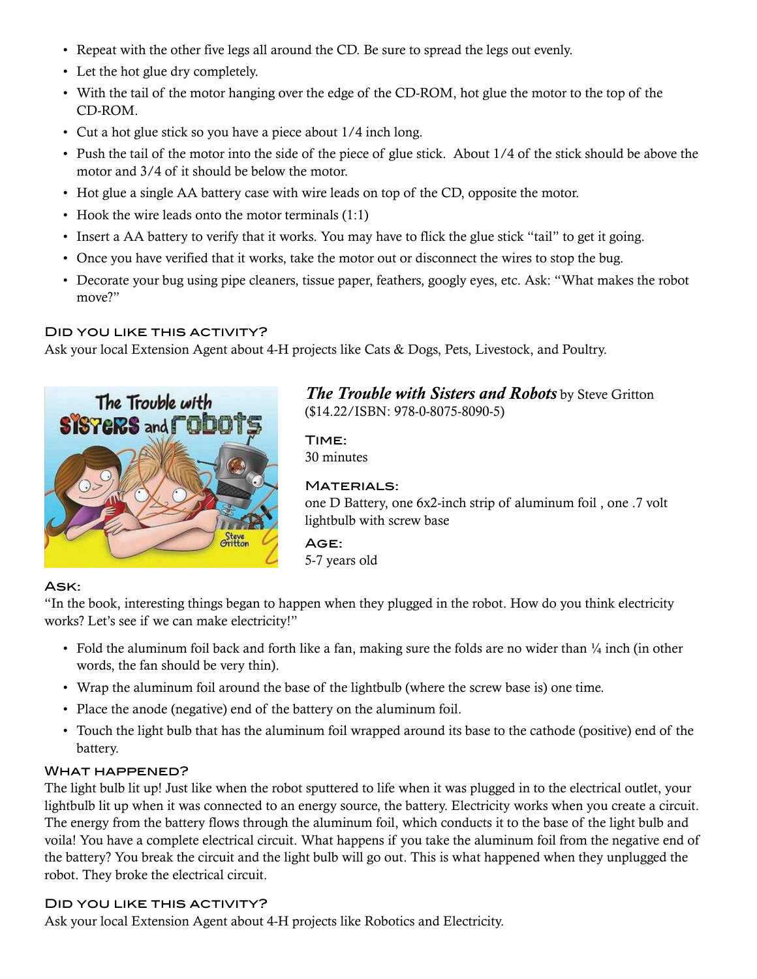- Repeat with the other five legs all around the CD. Be sure to spread the legs out evenly.
- Let the hot glue dry completely.
- With the tail of the motor hanging over the edge of the CD-ROM, hot glue the motor to the top of the CD-ROM.
- Cut a hot glue stick so you have a piece about 1/4 inch long.
- Push the tail of the motor into the side of the piece of glue stick. About 1/4 of the stick should be above the motor and 3/4 of it should be below the motor.
- Hot glue a single AA battery case with wire leads on top of the CD, opposite the motor.
- Hook the wire leads onto the motor terminals (1:1)
- Insert a AA battery to verify that it works. You may have to flick the glue stick "tail" to get it going.
- Once you have verified that it works, take the motor out or disconnect the wires to stop the bug.
- Decorate your bug using pipe cleaners, tissue paper, feathers, googly eyes, etc. Ask: "What makes the robot move?"

#### Did you like this activity?

Ask your local Extension Agent about 4-H projects like Cats & Dogs, Pets, Livestock, and Poultry.



*The Trouble with Sisters and Robots* by Steve Gritton (\$14.22/ISBN: 978-0-8075-8090-5)

Time: 30 minutes

#### MATERIALS:

one D Battery, one 6x2-inch strip of aluminum foil , one .7 volt lightbulb with screw base

#### Age:

5-7 years old

#### Ask:

"In the book, interesting things began to happen when they plugged in the robot. How do you think electricity works? Let's see if we can make electricity!"

- Fold the aluminum foil back and forth like a fan, making sure the folds are no wider than  $\frac{1}{4}$  inch (in other words, the fan should be very thin).
- Wrap the aluminum foil around the base of the lightbulb (where the screw base is) one time.
- Place the anode (negative) end of the battery on the aluminum foil.
- Touch the light bulb that has the aluminum foil wrapped around its base to the cathode (positive) end of the battery.

#### WHAT HAPPENED?

The light bulb lit up! Just like when the robot sputtered to life when it was plugged in to the electrical outlet, your lightbulb lit up when it was connected to an energy source, the battery. Electricity works when you create a circuit. The energy from the battery flows through the aluminum foil, which conducts it to the base of the light bulb and voila! You have a complete electrical circuit. What happens if you take the aluminum foil from the negative end of the battery? You break the circuit and the light bulb will go out. This is what happened when they unplugged the robot. They broke the electrical circuit.

#### Did you like this activity?

Ask your local Extension Agent about 4-H projects like Robotics and Electricity.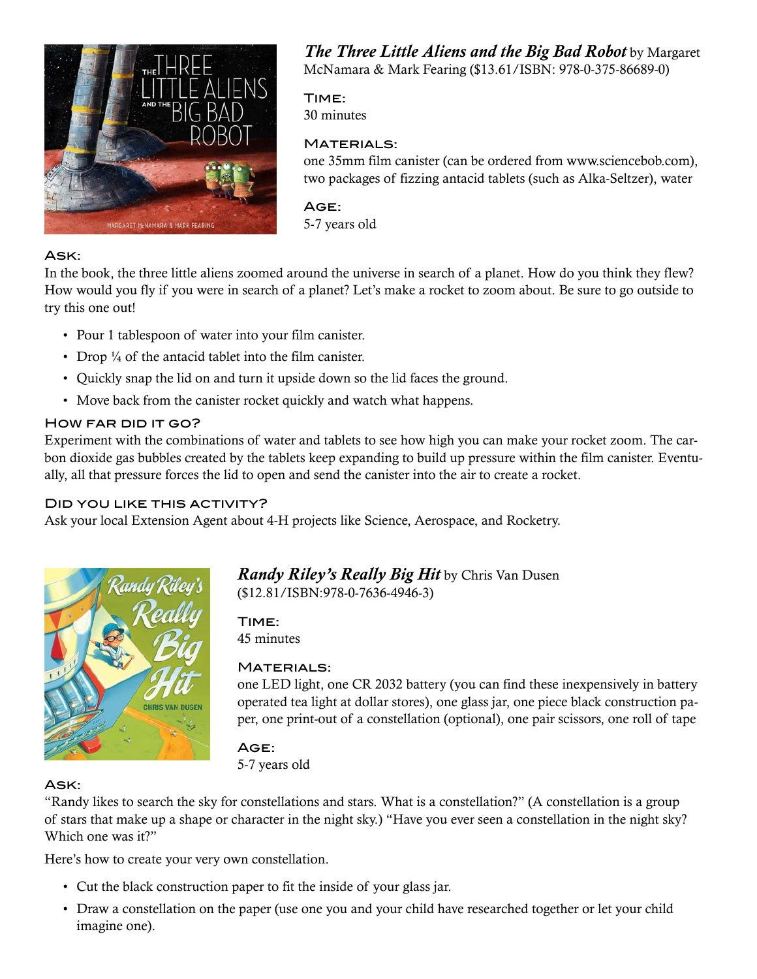

*The Three Little Aliens and the Big Bad Robot* by Margaret McNamara & Mark Fearing (\$13.61/ISBN: 978-0-375-86689-0)

Time:

30 minutes

#### **MATERIALS:**

one 35mm film canister (can be ordered from www.sciencebob.com), two packages of fizzing antacid tablets (such as Alka-Seltzer), water

Age: 5-7 years old

#### Ask:

In the book, the three little aliens zoomed around the universe in search of a planet. How do you think they flew? How would you fly if you were in search of a planet? Let's make a rocket to zoom about. Be sure to go outside to try this one out!

- Pour 1 tablespoon of water into your film canister.
- Drop  $\frac{1}{4}$  of the antacid tablet into the film canister.
- Quickly snap the lid on and turn it upside down so the lid faces the ground.
- Move back from the canister rocket quickly and watch what happens.

#### HOW FAR DID IT GO?

Experiment with the combinations of water and tablets to see how high you can make your rocket zoom. The carbon dioxide gas bubbles created by the tablets keep expanding to build up pressure within the film canister. Eventually, all that pressure forces the lid to open and send the canister into the air to create a rocket.

#### Did you like this activity?

Ask your local Extension Agent about 4-H projects like Science, Aerospace, and Rocketry.



*Randy Riley's Really Big Hit* by Chris Van Dusen (\$12.81/ISBN:978-0-7636-4946-3)

Time: 45 minutes

#### **MATERIALS:**

one LED light, one CR 2032 battery (you can find these inexpensively in battery operated tea light at dollar stores), one glass jar, one piece black construction paper, one print-out of a constellation (optional), one pair scissors, one roll of tape

## Age:

5-7 years old

## Ask:

"Randy likes to search the sky for constellations and stars. What is a constellation?" (A constellation is a group of stars that make up a shape or character in the night sky.) "Have you ever seen a constellation in the night sky? Which one was it?"

Here's how to create your very own constellation.

- Cut the black construction paper to fit the inside of your glass jar.
- Draw a constellation on the paper (use one you and your child have researched together or let your child imagine one).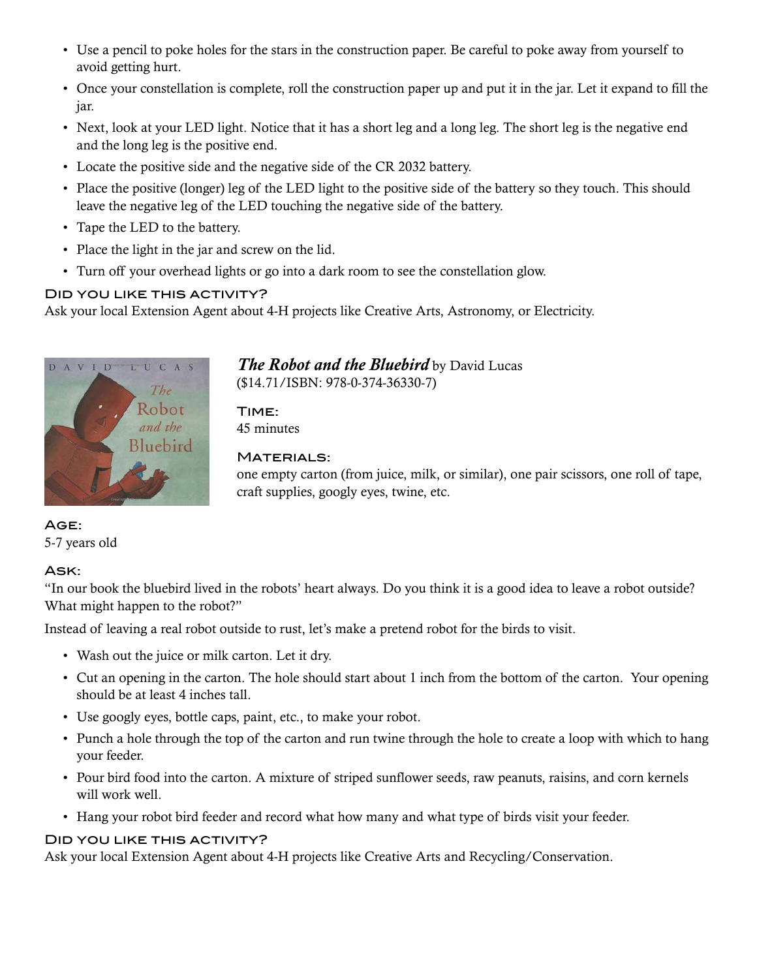- Use a pencil to poke holes for the stars in the construction paper. Be careful to poke away from yourself to avoid getting hurt.
- Once your constellation is complete, roll the construction paper up and put it in the jar. Let it expand to fill the jar.
- Next, look at your LED light. Notice that it has a short leg and a long leg. The short leg is the negative end and the long leg is the positive end.
- Locate the positive side and the negative side of the CR 2032 battery.
- Place the positive (longer) leg of the LED light to the positive side of the battery so they touch. This should leave the negative leg of the LED touching the negative side of the battery.
- Tape the LED to the battery.
- Place the light in the jar and screw on the lid.
- Turn off your overhead lights or go into a dark room to see the constellation glow.

#### Did you like this activity?

Ask your local Extension Agent about 4-H projects like Creative Arts, Astronomy, or Electricity.



#### *The Robot and the Bluebird* by David Lucas (\$14.71/ISBN: 978-0-374-36330-7)

Time: 45 minutes

#### MATERIALS:

one empty carton (from juice, milk, or similar), one pair scissors, one roll of tape, craft supplies, googly eyes, twine, etc.

#### Age: 5-7 years old

#### Ask:

"In our book the bluebird lived in the robots' heart always. Do you think it is a good idea to leave a robot outside? What might happen to the robot?"

Instead of leaving a real robot outside to rust, let's make a pretend robot for the birds to visit.

- Wash out the juice or milk carton. Let it dry.
- Cut an opening in the carton. The hole should start about 1 inch from the bottom of the carton. Your opening should be at least 4 inches tall.
- Use googly eyes, bottle caps, paint, etc., to make your robot.
- Punch a hole through the top of the carton and run twine through the hole to create a loop with which to hang your feeder.
- Pour bird food into the carton. A mixture of striped sunflower seeds, raw peanuts, raisins, and corn kernels will work well.
- Hang your robot bird feeder and record what how many and what type of birds visit your feeder.

#### Did you like this activity?

Ask your local Extension Agent about 4-H projects like Creative Arts and Recycling/Conservation.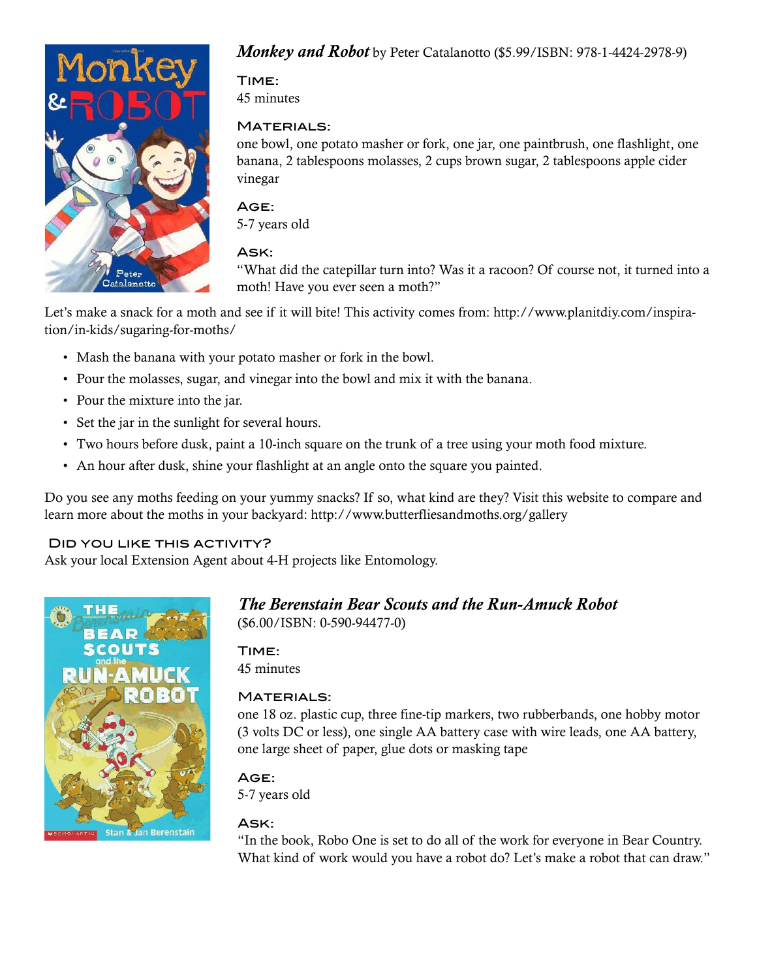

#### *Monkey and Robot* by Peter Catalanotto (\$5.99/ISBN: 978-1-4424-2978-9)

## Time:

45 minutes

#### MATERIALS:

one bowl, one potato masher or fork, one jar, one paintbrush, one flashlight, one banana, 2 tablespoons molasses, 2 cups brown sugar, 2 tablespoons apple cider vinegar

## Age:

5-7 years old

#### Ask:

"What did the catepillar turn into? Was it a racoon? Of course not, it turned into a moth! Have you ever seen a moth?"

Let's make a snack for a moth and see if it will bite! This activity comes from: http://www.planitdiy.com/inspiration/in-kids/sugaring-for-moths/

- Mash the banana with your potato masher or fork in the bowl.
- Pour the molasses, sugar, and vinegar into the bowl and mix it with the banana.
- Pour the mixture into the jar.
- Set the jar in the sunlight for several hours.
- Two hours before dusk, paint a 10-inch square on the trunk of a tree using your moth food mixture.
- An hour after dusk, shine your flashlight at an angle onto the square you painted.

Do you see any moths feeding on your yummy snacks? If so, what kind are they? Visit this website to compare and learn more about the moths in your backyard: http://www.butterfliesandmoths.org/gallery

#### Did you like this activity?

Ask your local Extension Agent about 4-H projects like Entomology.



## *The Berenstain Bear Scouts and the Run-Amuck Robot*

(\$6.00/ISBN: 0-590-94477-0)

#### Time:

45 minutes

#### **MATERIALS:**

one 18 oz. plastic cup, three fine-tip markers, two rubberbands, one hobby motor (3 volts DC or less), one single AA battery case with wire leads, one AA battery, one large sheet of paper, glue dots or masking tape

## Age:

5-7 years old

#### Ask:

"In the book, Robo One is set to do all of the work for everyone in Bear Country. What kind of work would you have a robot do? Let's make a robot that can draw."